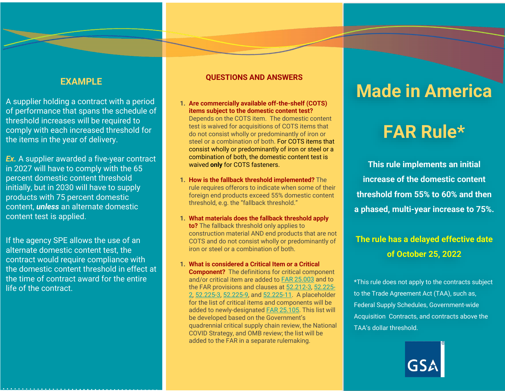## **EXAMPLE**

A supplier holding a contract with a period of performance that spans the schedule of threshold increases will be required to comply with each increased threshold for the items in the year of delivery.

*Ex.* A supplier awarded a five-year contract in 2027 will have to comply with the 65 percent domestic content threshold initially, but in 2030 will have to supply products with 75 percent domestic content, *unless* an alternate domestic content test is applied.

If the agency SPE allows the use of an alternate domestic content test, the contract would require compliance with the domestic content threshold in effect at the time of contract award for the entire life of the contract.

#### **QUESTIONS AND ANSWERS**

- **1. Are commercially available off-the-shelf (COTS) items subject to the domestic content test?** Depends on the COTS item. The domestic content test is waived for acquisitions of COTS items that do not consist wholly or predominantly of iron or steel or a combination of both. For COTS items that consist wholly or predominantly of iron or steel or a combination of both, the domestic content test is waived **only** for COTS fasteners.
- **1. How is the fallback threshold implemented?** The rule requires offerors to indicate when some of their foreign end products exceed 55% domestic content threshold, e.g. the "fallback threshold."
- **1. What materials does the fallback threshold apply to?** The fallback threshold only applies to construction material AND end products that are not COTS and do not consist wholly or predominantly of iron or steel or a combination of both.
- **1. What is considered a Critical Item or a Critical Component?** The definitions for critical component and/or critical item are added to [FAR 25.003](https://www.acquisition.gov/far/25.003) and to the FAR provisions and clauses at [52.212-3](https://www.acquisition.gov/far/52.212-3), 52.225- [2, 52.225-3, 52.225-9, and 52.225-11. A placeholder](https://www.acquisition.gov/far/52.225-2) for the list of critical items and components will be added to newly-designated [FAR 25.105](https://www.acquisition.gov/far/25.105). This list will be developed based on the Government's quadrennial critical supply chain review, the National COVID Strategy, and OMB review; the list will be added to the FAR in a separate rulemaking.

## **Made in America**

# **FAR Rule\* Rule\***

**This rule implements an initial increase of the domestic content threshold from 55% to 60% and then a phased, multi-year increase to 75%.** 

## **The rule has a delayed effective date of October 25, 2022**

\*This rule does not apply to the contracts subject to the Trade Agreement Act (TAA), such as, Federal Supply Schedules, Government-wide Acquisition Contracts, and contracts above the TAA's dollar threshold.